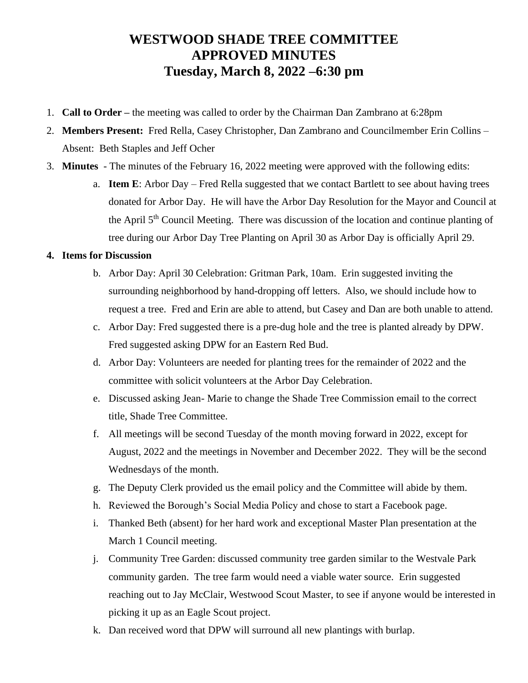## **WESTWOOD SHADE TREE COMMITTEE APPROVED MINUTES Tuesday, March 8, 2022 –6:30 pm**

- 1. **Call to Order –** the meeting was called to order by the Chairman Dan Zambrano at 6:28pm
- 2. **Members Present:** Fred Rella, Casey Christopher, Dan Zambrano and Councilmember Erin Collins Absent: Beth Staples and Jeff Ocher
- 3. **Minutes**  The minutes of the February 16, 2022 meeting were approved with the following edits:
	- a. **Item E**: Arbor Day Fred Rella suggested that we contact Bartlett to see about having trees donated for Arbor Day. He will have the Arbor Day Resolution for the Mayor and Council at the April 5<sup>th</sup> Council Meeting. There was discussion of the location and continue planting of tree during our Arbor Day Tree Planting on April 30 as Arbor Day is officially April 29.

## **4. Items for Discussion**

- b. Arbor Day: April 30 Celebration: Gritman Park, 10am. Erin suggested inviting the surrounding neighborhood by hand-dropping off letters. Also, we should include how to request a tree. Fred and Erin are able to attend, but Casey and Dan are both unable to attend.
- c. Arbor Day: Fred suggested there is a pre-dug hole and the tree is planted already by DPW. Fred suggested asking DPW for an Eastern Red Bud.
- d. Arbor Day: Volunteers are needed for planting trees for the remainder of 2022 and the committee with solicit volunteers at the Arbor Day Celebration.
- e. Discussed asking Jean- Marie to change the Shade Tree Commission email to the correct title, Shade Tree Committee.
- f. All meetings will be second Tuesday of the month moving forward in 2022, except for August, 2022 and the meetings in November and December 2022. They will be the second Wednesdays of the month.
- g. The Deputy Clerk provided us the email policy and the Committee will abide by them.
- h. Reviewed the Borough's Social Media Policy and chose to start a Facebook page.
- i. Thanked Beth (absent) for her hard work and exceptional Master Plan presentation at the March 1 Council meeting.
- j. Community Tree Garden: discussed community tree garden similar to the Westvale Park community garden. The tree farm would need a viable water source. Erin suggested reaching out to Jay McClair, Westwood Scout Master, to see if anyone would be interested in picking it up as an Eagle Scout project.
- k. Dan received word that DPW will surround all new plantings with burlap.